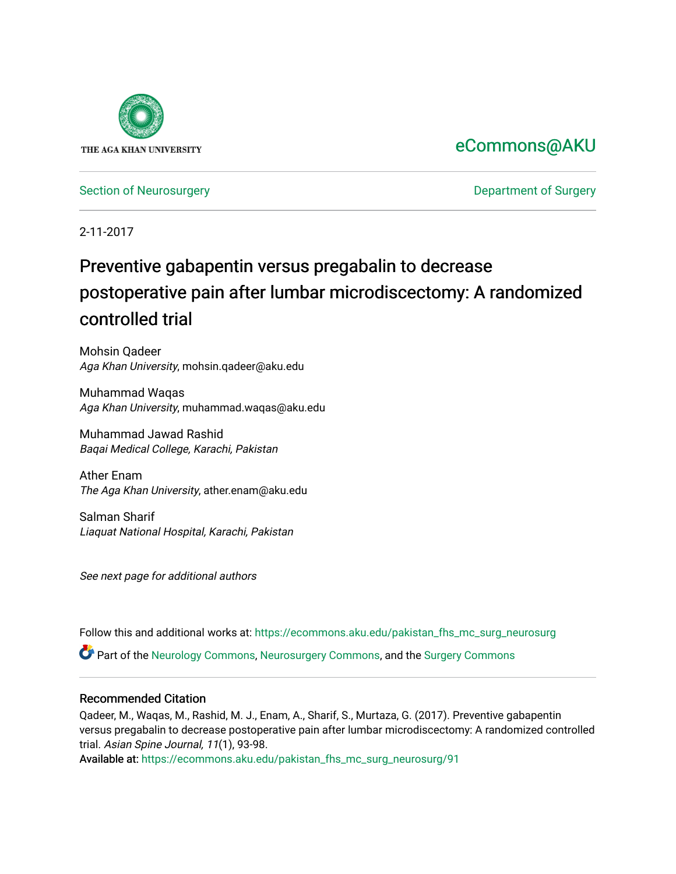

## [eCommons@AKU](https://ecommons.aku.edu/)

[Section of Neurosurgery](https://ecommons.aku.edu/pakistan_fhs_mc_surg_neurosurg) **Department of Surgery** Department of Surgery

2-11-2017

# Preventive gabapentin versus pregabalin to decrease postoperative pain after lumbar microdiscectomy: A randomized controlled trial

Mohsin Qadeer Aga Khan University, mohsin.qadeer@aku.edu

Muhammad Waqas Aga Khan University, muhammad.waqas@aku.edu

Muhammad Jawad Rashid Baqai Medical College, Karachi, Pakistan

Ather Enam The Aga Khan University, ather.enam@aku.edu

Salman Sharif Liaquat National Hospital, Karachi, Pakistan

See next page for additional authors

Follow this and additional works at: [https://ecommons.aku.edu/pakistan\\_fhs\\_mc\\_surg\\_neurosurg](https://ecommons.aku.edu/pakistan_fhs_mc_surg_neurosurg?utm_source=ecommons.aku.edu%2Fpakistan_fhs_mc_surg_neurosurg%2F91&utm_medium=PDF&utm_campaign=PDFCoverPages) 

Part of the [Neurology Commons](http://network.bepress.com/hgg/discipline/692?utm_source=ecommons.aku.edu%2Fpakistan_fhs_mc_surg_neurosurg%2F91&utm_medium=PDF&utm_campaign=PDFCoverPages), [Neurosurgery Commons](http://network.bepress.com/hgg/discipline/1428?utm_source=ecommons.aku.edu%2Fpakistan_fhs_mc_surg_neurosurg%2F91&utm_medium=PDF&utm_campaign=PDFCoverPages), and the [Surgery Commons](http://network.bepress.com/hgg/discipline/706?utm_source=ecommons.aku.edu%2Fpakistan_fhs_mc_surg_neurosurg%2F91&utm_medium=PDF&utm_campaign=PDFCoverPages) 

#### Recommended Citation

Qadeer, M., Waqas, M., Rashid, M. J., Enam, A., Sharif, S., Murtaza, G. (2017). Preventive gabapentin versus pregabalin to decrease postoperative pain after lumbar microdiscectomy: A randomized controlled trial. Asian Spine Journal, 11(1), 93-98.

Available at: [https://ecommons.aku.edu/pakistan\\_fhs\\_mc\\_surg\\_neurosurg/91](https://ecommons.aku.edu/pakistan_fhs_mc_surg_neurosurg/91)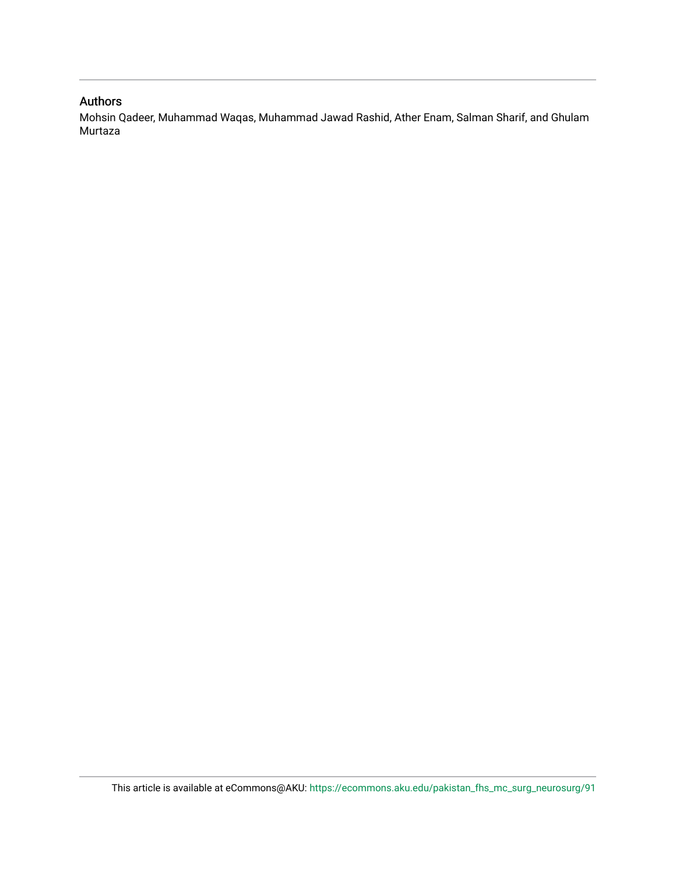#### Authors

Mohsin Qadeer, Muhammad Waqas, Muhammad Jawad Rashid, Ather Enam, Salman Sharif, and Ghulam Murtaza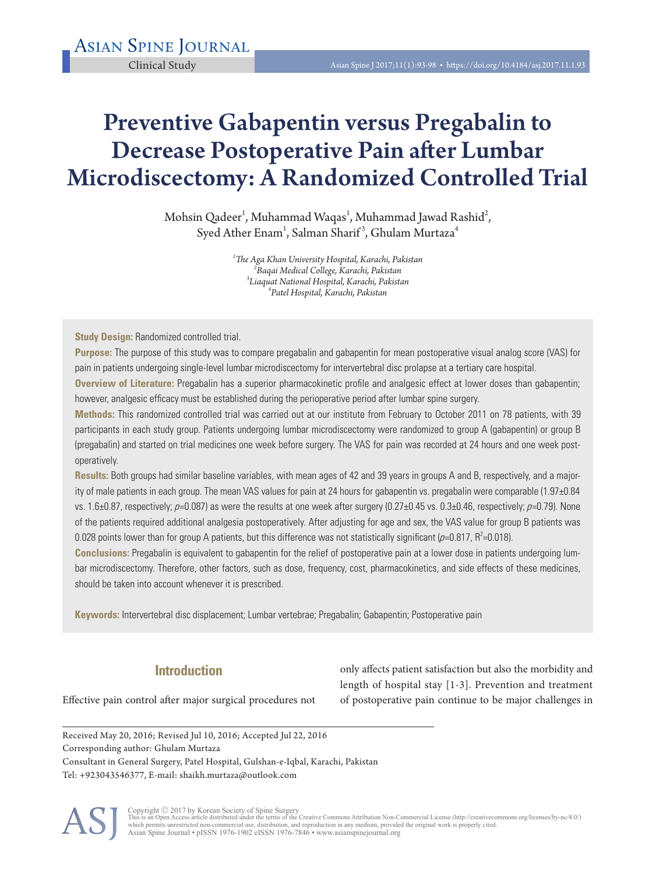# Preventive Gabapentin versus Pregabalin to Decrease Postoperative Pain after Lumbar Microdiscectomy: A Randomized Controlled Trial

Mohsin Qadeer $^{\rm l}$ , Muhammad Waqas $^{\rm l}$ , Muhammad Jawad Rashid $^{\rm 2}$ , Syed Ather Enam<sup>1</sup>, Salman Sharif<sup>3</sup>, Ghulam Murtaza<sup>4</sup>

> *1 The Aga Khan University Hospital, Karachi, Pakistan <sup>2</sup> Baqai Medical College, Karachi, Pakistan <sup>3</sup> Liaquat National Hospital, Karachi, Pakistan <sup>4</sup> Patel Hospital, Karachi, Pakistan*

**Study Design:** Randomized controlled trial.

**Purpose:** The purpose of this study was to compare pregabalin and gabapentin for mean postoperative visual analog score (VAS) for pain in patients undergoing single-level lumbar microdiscectomy for intervertebral disc prolapse at a tertiary care hospital.

**Overview of Literature:** Pregabalin has a superior pharmacokinetic profile and analgesic effect at lower doses than gabapentin; however, analgesic efficacy must be established during the perioperative period after lumbar spine surgery.

**Methods:** This randomized controlled trial was carried out at our institute from February to October 2011 on 78 patients, with 39 participants in each study group. Patients undergoing lumbar microdiscectomy were randomized to group A (gabapentin) or group B (pregabalin) and started on trial medicines one week before surgery. The VAS for pain was recorded at 24 hours and one week postoperatively.

**Results:** Both groups had similar baseline variables, with mean ages of 42 and 39 years in groups A and B, respectively, and a majority of male patients in each group. The mean VAS values for pain at 24 hours for gabapentin vs. pregabalin were comparable (1.97±0.84 vs. 1.6 $\pm$ 0.87, respectively;  $p$ =0.087) as were the results at one week after surgery (0.27 $\pm$ 0.45 vs. 0.3 $\pm$ 0.46, respectively;  $p$ =0.79). None of the patients required additional analgesia postoperatively. After adjusting for age and sex, the VAS value for group B patients was 0.028 points lower than for group A patients, but this difference was not statistically significant (p=0.817, R<sup>2</sup>=0.018).

**Conclusions:** Pregabalin is equivalent to gabapentin for the relief of postoperative pain at a lower dose in patients undergoing lumbar microdiscectomy. Therefore, other factors, such as dose, frequency, cost, pharmacokinetics, and side effects of these medicines, should be taken into account whenever it is prescribed.

**Keywords:** Intervertebral disc displacement; Lumbar vertebrae; Pregabalin; Gabapentin; Postoperative pain

### **Introduction**

only affects patient satisfaction but also the morbidity and length of hospital stay [1-3]. Prevention and treatment of postoperative pain continue to be major challenges in

Effective pain control after major surgical procedures not

Received May 20, 2016; Revised Jul 10, 2016; Accepted Jul 22, 2016 Corresponding author: Ghulam Murtaza Consultant in General Surgery, Patel Hospital, Gulshan-e-Iqbal, Karachi, Pakistan Tel: +923043546377, E-mail: shaikh.murtaza@outlook.com



Copyright © 2017 by Korean Society of Spine Surgery<br>This is an Open Access article distributed under the terms of the Creative Commons Attribution Non-Commercial License (http://creativecommons.org/licenses/by-nc/4.0/)<br>whi Asian Spine Journal • pISSN 1976-1902 eISSN 1976-7846 • www.asianspinejournal.org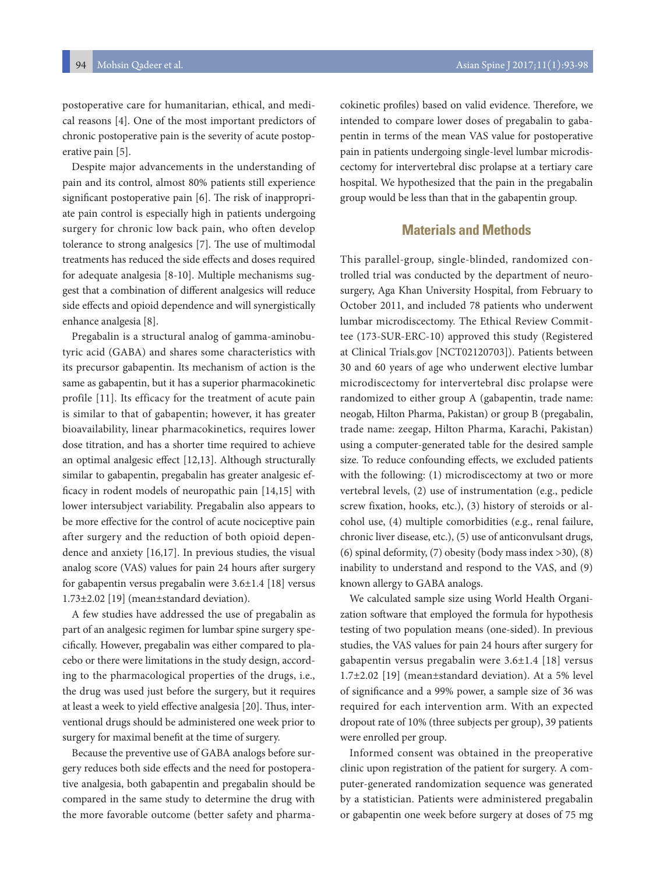postoperative care for humanitarian, ethical, and medical reasons [4]. One of the most important predictors of chronic postoperative pain is the severity of acute postoperative pain [5].

Despite major advancements in the understanding of pain and its control, almost 80% patients still experience significant postoperative pain [6]. The risk of inappropriate pain control is especially high in patients undergoing surgery for chronic low back pain, who often develop tolerance to strong analgesics [7]. The use of multimodal treatments has reduced the side effects and doses required for adequate analgesia [8-10]. Multiple mechanisms suggest that a combination of different analgesics will reduce side effects and opioid dependence and will synergistically enhance analgesia [8].

Pregabalin is a structural analog of gamma-aminobutyric acid (GABA) and shares some characteristics with its precursor gabapentin. Its mechanism of action is the same as gabapentin, but it has a superior pharmacokinetic profile [11]. Its efficacy for the treatment of acute pain is similar to that of gabapentin; however, it has greater bioavailability, linear pharmacokinetics, requires lower dose titration, and has a shorter time required to achieve an optimal analgesic effect [12,13]. Although structurally similar to gabapentin, pregabalin has greater analgesic efficacy in rodent models of neuropathic pain [14,15] with lower intersubject variability. Pregabalin also appears to be more effective for the control of acute nociceptive pain after surgery and the reduction of both opioid dependence and anxiety [16,17]. In previous studies, the visual analog score (VAS) values for pain 24 hours after surgery for gabapentin versus pregabalin were 3.6±1.4 [18] versus 1.73±2.02 [19] (mean±standard deviation).

A few studies have addressed the use of pregabalin as part of an analgesic regimen for lumbar spine surgery specifically. However, pregabalin was either compared to placebo or there were limitations in the study design, according to the pharmacological properties of the drugs, i.e., the drug was used just before the surgery, but it requires at least a week to yield effective analgesia [20]. Thus, interventional drugs should be administered one week prior to surgery for maximal benefit at the time of surgery.

Because the preventive use of GABA analogs before surgery reduces both side effects and the need for postoperative analgesia, both gabapentin and pregabalin should be compared in the same study to determine the drug with the more favorable outcome (better safety and pharma-

cokinetic profiles) based on valid evidence. Therefore, we intended to compare lower doses of pregabalin to gabapentin in terms of the mean VAS value for postoperative pain in patients undergoing single-level lumbar microdiscectomy for intervertebral disc prolapse at a tertiary care hospital. We hypothesized that the pain in the pregabalin group would be less than that in the gabapentin group.

#### **Materials and Methods**

This parallel-group, single-blinded, randomized controlled trial was conducted by the department of neurosurgery, Aga Khan University Hospital, from February to October 2011, and included 78 patients who underwent lumbar microdiscectomy. The Ethical Review Committee (173-SUR-ERC-10) approved this study (Registered at Clinical Trials.gov [NCT02120703]). Patients between 30 and 60 years of age who underwent elective lumbar microdiscectomy for intervertebral disc prolapse were randomized to either group A (gabapentin, trade name: neogab, Hilton Pharma, Pakistan) or group B (pregabalin, trade name: zeegap, Hilton Pharma, Karachi, Pakistan) using a computer-generated table for the desired sample size. To reduce confounding effects, we excluded patients with the following: (1) microdiscectomy at two or more vertebral levels, (2) use of instrumentation (e.g., pedicle screw fixation, hooks, etc.), (3) history of steroids or alcohol use, (4) multiple comorbidities (e.g., renal failure, chronic liver disease, etc.), (5) use of anticonvulsant drugs, (6) spinal deformity, (7) obesity (body mass index >30), (8) inability to understand and respond to the VAS, and (9) known allergy to GABA analogs.

We calculated sample size using World Health Organization software that employed the formula for hypothesis testing of two population means (one-sided). In previous studies, the VAS values for pain 24 hours after surgery for gabapentin versus pregabalin were 3.6±1.4 [18] versus 1.7±2.02 [19] (mean±standard deviation). At a 5% level of significance and a 99% power, a sample size of 36 was required for each intervention arm. With an expected dropout rate of 10% (three subjects per group), 39 patients were enrolled per group.

Informed consent was obtained in the preoperative clinic upon registration of the patient for surgery. A computer-generated randomization sequence was generated by a statistician. Patients were administered pregabalin or gabapentin one week before surgery at doses of 75 mg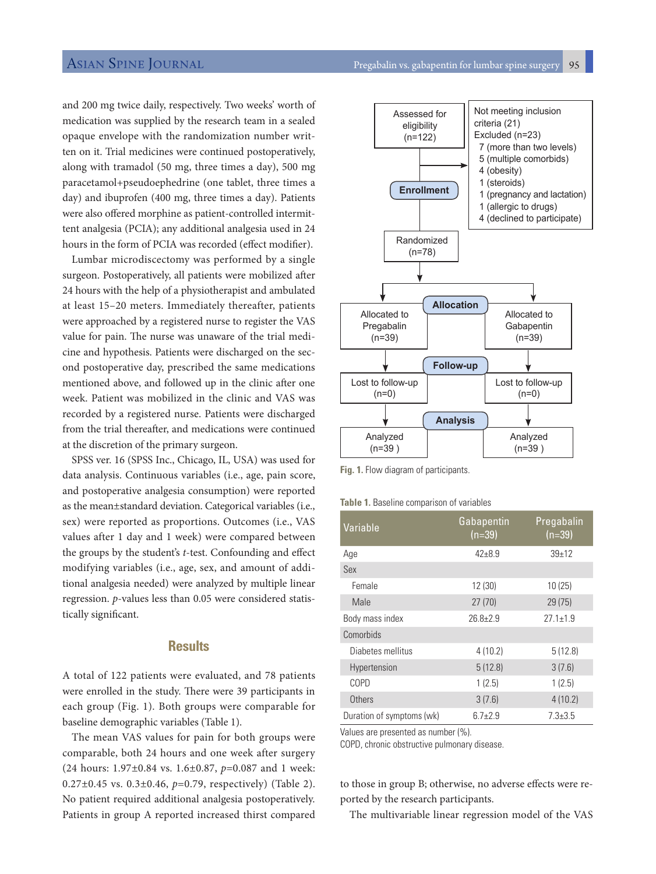and 200 mg twice daily, respectively. Two weeks' worth of medication was supplied by the research team in a sealed opaque envelope with the randomization number written on it. Trial medicines were continued postoperatively, along with tramadol (50 mg, three times a day), 500 mg paracetamol+pseudoephedrine (one tablet, three times a day) and ibuprofen (400 mg, three times a day). Patients were also offered morphine as patient-controlled intermittent analgesia (PCIA); any additional analgesia used in 24 hours in the form of PCIA was recorded (effect modifier).

Lumbar microdiscectomy was performed by a single surgeon. Postoperatively, all patients were mobilized after 24 hours with the help of a physiotherapist and ambulated at least 15–20 meters. Immediately thereafter, patients were approached by a registered nurse to register the VAS value for pain. The nurse was unaware of the trial medicine and hypothesis. Patients were discharged on the second postoperative day, prescribed the same medications mentioned above, and followed up in the clinic after one week. Patient was mobilized in the clinic and VAS was recorded by a registered nurse. Patients were discharged from the trial thereafter, and medications were continued at the discretion of the primary surgeon.

SPSS ver. 16 (SPSS Inc., Chicago, IL, USA) was used for data analysis. Continuous variables (i.e., age, pain score, and postoperative analgesia consumption) were reported as the mean±standard deviation. Categorical variables (i.e., sex) were reported as proportions. Outcomes (i.e., VAS values after 1 day and 1 week) were compared between the groups by the student's *t*-test. Confounding and effect modifying variables (i.e., age, sex, and amount of additional analgesia needed) were analyzed by multiple linear regression. *p*-values less than 0.05 were considered statistically significant.

#### **Results**

A total of 122 patients were evaluated, and 78 patients were enrolled in the study. There were 39 participants in each group (Fig. 1). Both groups were comparable for baseline demographic variables (Table 1).

The mean VAS values for pain for both groups were comparable, both 24 hours and one week after surgery (24 hours: 1.97±0.84 vs. 1.6±0.87, *p*=0.087 and 1 week: 0.27±0.45 vs. 0.3±0.46, *p*=0.79, respectively) (Table 2). No patient required additional analgesia postoperatively. Patients in group A reported increased thirst compared



**Fig. 1.** Flow diagram of participants.

|  | <b>Table 1.</b> Baseline comparison of variables |  |
|--|--------------------------------------------------|--|
|  |                                                  |  |
|  |                                                  |  |

| Variable                  | Gabapentin<br>$(n=39)$ | Pregabalin<br>$(n=39)$ |
|---------------------------|------------------------|------------------------|
| Age                       | $42 + 8.9$             | $39+12$                |
| Sex                       |                        |                        |
| Female                    | 12 (30)                | 10(25)                 |
| Male                      | 27(70)                 | 29(75)                 |
| Body mass index           | $26.8 + 2.9$           | $27.1 \pm 1.9$         |
| Comorbids                 |                        |                        |
| Diabetes mellitus         | 4(10.2)                | 5(12.8)                |
| Hypertension              | 5(12.8)                | 3(7.6)                 |
| COPD                      | 1(2.5)                 | 1(2.5)                 |
| Others                    | 3(7.6)                 | 4(10.2)                |
| Duration of symptoms (wk) | $6.7 + 2.9$            | $7.3 \pm 3.5$          |

Values are presented as number (%).

COPD, chronic obstructive pulmonary disease.

to those in group B; otherwise, no adverse effects were reported by the research participants.

The multivariable linear regression model of the VAS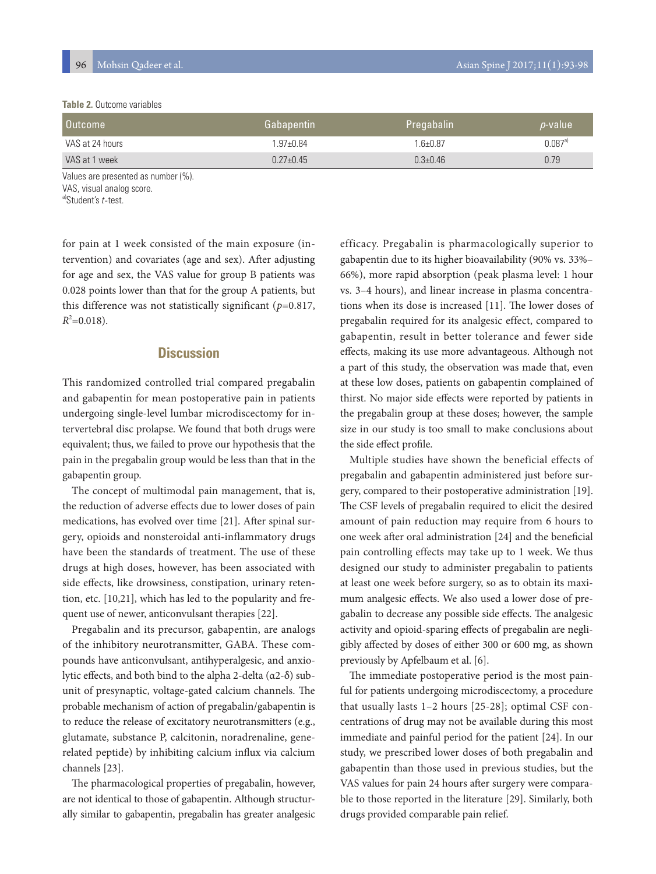#### **Table 2.** Outcome variables

| <b>Outcome</b>  | Gabapentin    | Pregabalin,    | <i>p</i> -value |
|-----------------|---------------|----------------|-----------------|
| VAS at 24 hours | $1.97 + 0.84$ | $1.6 + 0.87$   | $0.087a}$       |
| VAS at 1 week   | $0.27 + 0.45$ | $0.3 \pm 0.46$ | 0.79            |

Values are presented as number (%).

VAS, visual analog score.

a)Student's t-test.

for pain at 1 week consisted of the main exposure (intervention) and covariates (age and sex). After adjusting for age and sex, the VAS value for group B patients was 0.028 points lower than that for the group A patients, but this difference was not statistically significant (*p*=0.817,  $R^2$ =0.018).

#### **Discussion**

This randomized controlled trial compared pregabalin and gabapentin for mean postoperative pain in patients undergoing single-level lumbar microdiscectomy for intervertebral disc prolapse. We found that both drugs were equivalent; thus, we failed to prove our hypothesis that the pain in the pregabalin group would be less than that in the gabapentin group.

The concept of multimodal pain management, that is, the reduction of adverse effects due to lower doses of pain medications, has evolved over time [21]. After spinal surgery, opioids and nonsteroidal anti-inflammatory drugs have been the standards of treatment. The use of these drugs at high doses, however, has been associated with side effects, like drowsiness, constipation, urinary retention, etc. [10,21], which has led to the popularity and frequent use of newer, anticonvulsant therapies [22].

Pregabalin and its precursor, gabapentin, are analogs of the inhibitory neurotransmitter, GABA. These compounds have anticonvulsant, antihyperalgesic, and anxiolytic effects, and both bind to the alpha 2-delta (α2-δ) subunit of presynaptic, voltage-gated calcium channels. The probable mechanism of action of pregabalin/gabapentin is to reduce the release of excitatory neurotransmitters (e.g., glutamate, substance P, calcitonin, noradrenaline, generelated peptide) by inhibiting calcium influx via calcium channels [23].

The pharmacological properties of pregabalin, however, are not identical to those of gabapentin. Although structurally similar to gabapentin, pregabalin has greater analgesic efficacy. Pregabalin is pharmacologically superior to gabapentin due to its higher bioavailability (90% vs. 33%– 66%), more rapid absorption (peak plasma level: 1 hour vs. 3–4 hours), and linear increase in plasma concentrations when its dose is increased [11]. The lower doses of pregabalin required for its analgesic effect, compared to gabapentin, result in better tolerance and fewer side effects, making its use more advantageous. Although not a part of this study, the observation was made that, even at these low doses, patients on gabapentin complained of thirst. No major side effects were reported by patients in the pregabalin group at these doses; however, the sample size in our study is too small to make conclusions about the side effect profile.

Multiple studies have shown the beneficial effects of pregabalin and gabapentin administered just before surgery, compared to their postoperative administration [19]. The CSF levels of pregabalin required to elicit the desired amount of pain reduction may require from 6 hours to one week after oral administration [24] and the beneficial pain controlling effects may take up to 1 week. We thus designed our study to administer pregabalin to patients at least one week before surgery, so as to obtain its maximum analgesic effects. We also used a lower dose of pregabalin to decrease any possible side effects. The analgesic activity and opioid-sparing effects of pregabalin are negligibly affected by doses of either 300 or 600 mg, as shown previously by Apfelbaum et al. [6].

The immediate postoperative period is the most painful for patients undergoing microdiscectomy, a procedure that usually lasts 1–2 hours [25-28]; optimal CSF concentrations of drug may not be available during this most immediate and painful period for the patient [24]. In our study, we prescribed lower doses of both pregabalin and gabapentin than those used in previous studies, but the VAS values for pain 24 hours after surgery were comparable to those reported in the literature [29]. Similarly, both drugs provided comparable pain relief.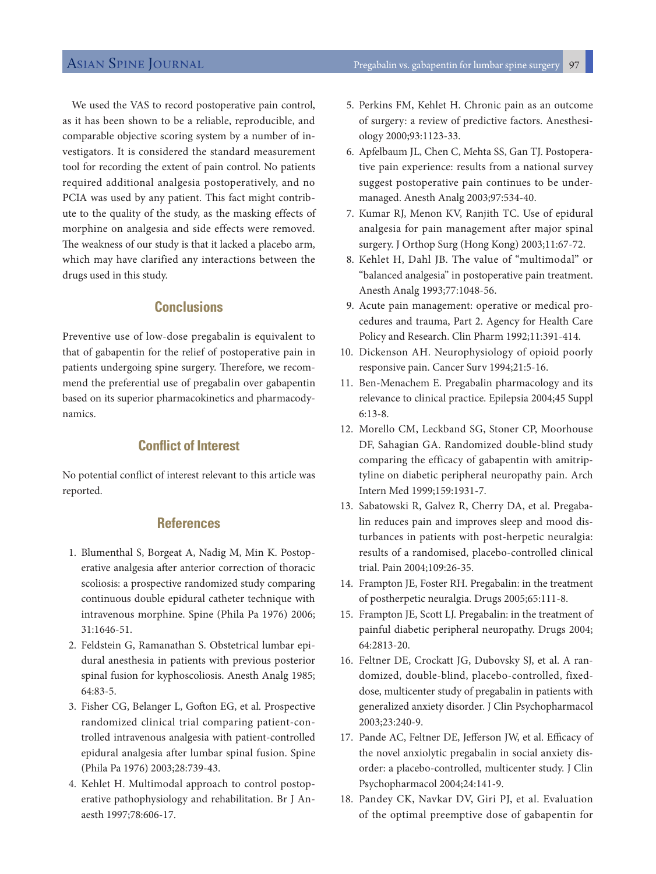We used the VAS to record postoperative pain control, as it has been shown to be a reliable, reproducible, and comparable objective scoring system by a number of investigators. It is considered the standard measurement tool for recording the extent of pain control. No patients required additional analgesia postoperatively, and no PCIA was used by any patient. This fact might contribute to the quality of the study, as the masking effects of morphine on analgesia and side effects were removed. The weakness of our study is that it lacked a placebo arm, which may have clarified any interactions between the drugs used in this study.

#### **Conclusions**

Preventive use of low-dose pregabalin is equivalent to that of gabapentin for the relief of postoperative pain in patients undergoing spine surgery. Therefore, we recommend the preferential use of pregabalin over gabapentin based on its superior pharmacokinetics and pharmacodynamics.

#### **Conflict of Interest**

No potential conflict of interest relevant to this article was reported.

#### **References**

- 1. Blumenthal S, Borgeat A, Nadig M, Min K. Postoperative analgesia after anterior correction of thoracic scoliosis: a prospective randomized study comparing continuous double epidural catheter technique with intravenous morphine. Spine (Phila Pa 1976) 2006; 31:1646-51.
- 2. Feldstein G, Ramanathan S. Obstetrical lumbar epidural anesthesia in patients with previous posterior spinal fusion for kyphoscoliosis. Anesth Analg 1985; 64:83-5.
- 3. Fisher CG, Belanger L, Gofton EG, et al. Prospective randomized clinical trial comparing patient-controlled intravenous analgesia with patient-controlled epidural analgesia after lumbar spinal fusion. Spine (Phila Pa 1976) 2003;28:739-43.
- 4. Kehlet H. Multimodal approach to control postoperative pathophysiology and rehabilitation. Br J Anaesth 1997;78:606-17.
- 5. Perkins FM, Kehlet H. Chronic pain as an outcome of surgery: a review of predictive factors. Anesthesiology 2000;93:1123-33.
- 6. Apfelbaum JL, Chen C, Mehta SS, Gan TJ. Postoperative pain experience: results from a national survey suggest postoperative pain continues to be undermanaged. Anesth Analg 2003;97:534-40.
- 7. Kumar RJ, Menon KV, Ranjith TC. Use of epidural analgesia for pain management after major spinal surgery. J Orthop Surg (Hong Kong) 2003;11:67-72.
- 8. Kehlet H, Dahl JB. The value of "multimodal" or "balanced analgesia" in postoperative pain treatment. Anesth Analg 1993;77:1048-56.
- 9. Acute pain management: operative or medical procedures and trauma, Part 2. Agency for Health Care Policy and Research. Clin Pharm 1992;11:391-414.
- 10. Dickenson AH. Neurophysiology of opioid poorly responsive pain. Cancer Surv 1994;21:5-16.
- 11. Ben-Menachem E. Pregabalin pharmacology and its relevance to clinical practice. Epilepsia 2004;45 Suppl 6:13-8.
- 12. Morello CM, Leckband SG, Stoner CP, Moorhouse DF, Sahagian GA. Randomized double-blind study comparing the efficacy of gabapentin with amitriptyline on diabetic peripheral neuropathy pain. Arch Intern Med 1999;159:1931-7.
- 13. Sabatowski R, Galvez R, Cherry DA, et al. Pregabalin reduces pain and improves sleep and mood disturbances in patients with post-herpetic neuralgia: results of a randomised, placebo-controlled clinical trial. Pain 2004;109:26-35.
- 14. Frampton JE, Foster RH. Pregabalin: in the treatment of postherpetic neuralgia. Drugs 2005;65:111-8.
- 15. Frampton JE, Scott LJ. Pregabalin: in the treatment of painful diabetic peripheral neuropathy. Drugs 2004; 64:2813-20.
- 16. Feltner DE, Crockatt JG, Dubovsky SJ, et al. A randomized, double-blind, placebo-controlled, fixeddose, multicenter study of pregabalin in patients with generalized anxiety disorder. J Clin Psychopharmacol 2003;23:240-9.
- 17. Pande AC, Feltner DE, Jefferson JW, et al. Efficacy of the novel anxiolytic pregabalin in social anxiety disorder: a placebo-controlled, multicenter study. J Clin Psychopharmacol 2004;24:141-9.
- 18. Pandey CK, Navkar DV, Giri PJ, et al. Evaluation of the optimal preemptive dose of gabapentin for